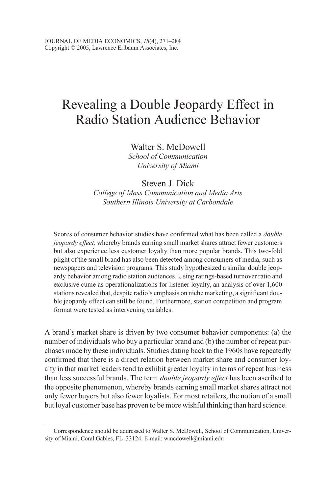# Revealing a Double Jeopardy Effect in Radio Station Audience Behavior

Walter S. McDowell

School of Communication University of Miami

## Steven J. Dick

College of Mass Communication and Media Arts Southern Illinois University at Carbondale

Scores of consumer behavior studies have confirmed what has been called a *double* jeopardy effect, whereby brands earning small market shares attract fewer customers but also experience less customer loyalty than more popular brands. This two-fold plight of the small brand has also been detected among consumers of media, such as newspapers and television programs. This study hypothesized a similar double jeopardy behavior among radio station audiences. Using ratings-based turnover ratio and exclusive cume as operationalizations for listener loyalty, an analysis of over 1,600 stations revealed that, despite radio's emphasis on niche marketing, a significant double jeopardy effect can still be found. Furthermore, station competition and program format were tested as intervening variables.

A brand's market share is driven by two consumer behavior components: (a) the number of individuals who buy a particular brand and (b) the number of repeat purchases made by these individuals. Studies dating back to the 1960s have repeatedly confirmed that there is a direct relation between market share and consumer loyalty in that market leaders tend to exhibit greater loyalty in terms of repeat business than less successful brands. The term *double jeopardy effect* has been ascribed to the opposite phenomenon, whereby brands earning small market shares attract not only fewer buyers but also fewer loyalists. For most retailers, the notion of a small but loyal customer base has proven to be more wishful thinking than hard science.

Correspondence should be addressed to Walter S. McDowell, School of Communication, University of Miami, Coral Gables, FL 33124. E-mail: wmcdowell@miami.edu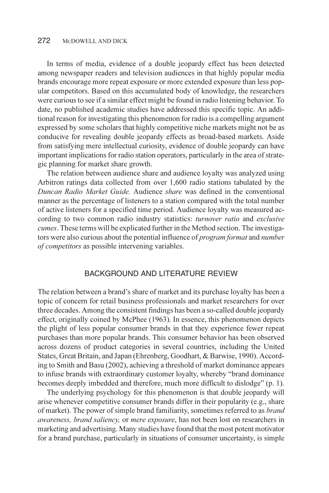#### 272 MCDOWELL AND DICK

In terms of media, evidence of a double jeopardy effect has been detected among newspaper readers and television audiences in that highly popular media brands encourage more repeat exposure or more extended exposure than less popular competitors. Based on this accumulated body of knowledge, the researchers were curious to see if a similar effect might be found in radio listening behavior. To date, no published academic studies have addressed this specific topic. An additional reason for investigating this phenomenon for radio is a compelling argument expressed by some scholars that highly competitive niche markets might not be as conducive for revealing double jeopardy effects as broad-based markets. Aside from satisfying mere intellectual curiosity, evidence of double jeopardy can have important implications for radio station operators, particularly in the area of strategic planning for market share growth.

The relation between audience share and audience loyalty was analyzed using Arbitron ratings data collected from over 1,600 radio stations tabulated by the Duncan Radio Market Guide. Audience share was defined in the conventional manner as the percentage of listeners to a station compared with the total number of active listeners for a specified time period. Audience loyalty was measured according to two common radio industry statistics: turnover ratio and exclusive cumes. These terms will be explicated further in the Method section. The investigators were also curious about the potential influence of *program format* and *number* of competitors as possible intervening variables.

## BACKGROUND AND LITERATURE REVIEW

The relation between a brand's share of market and its purchase loyalty has been a topic of concern for retail business professionals and market researchers for over three decades. Among the consistent findings has been a so-called double jeopardy effect, originally coined by McPhee (1963). In essence, this phenomenon depicts the plight of less popular consumer brands in that they experience fewer repeat purchases than more popular brands. This consumer behavior has been observed across dozens of product categories in several countries, including the United States, Great Britain, and Japan (Ehrenberg, Goodhart, & Barwise, 1990). According to Smith and Basu (2002), achieving a threshold of market dominance appears to infuse brands with extraordinary customer loyalty, whereby "brand dominance becomes deeply imbedded and therefore, much more difficult to dislodge" (p. 1).

The underlying psychology for this phenomenon is that double jeopardy will arise whenever competitive consumer brands differ in their popularity (e.g., share of market). The power of simple brand familiarity, sometimes referred to as brand awareness, brand saliency, or mere exposure, has not been lost on researchers in marketing and advertising. Many studies have found that the most potent motivator for a brand purchase, particularly in situations of consumer uncertainty, is simple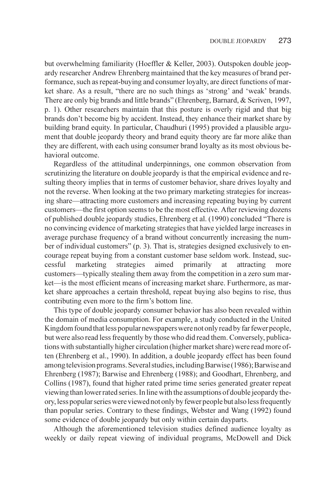but overwhelming familiarity (Hoeffler & Keller, 2003). Outspoken double jeopardy researcher Andrew Ehrenberg maintained that the key measures of brand performance, such as repeat-buying and consumer loyalty, are direct functions of market share. As a result, "there are no such things as 'strong' and 'weak' brands. There are only big brands and little brands" (Ehrenberg, Barnard, & Scriven, 1997, p. 1). Other researchers maintain that this posture is overly rigid and that big brands don't become big by accident. Instead, they enhance their market share by building brand equity. In particular, Chaudhuri (1995) provided a plausible argument that double jeopardy theory and brand equity theory are far more alike than they are different, with each using consumer brand loyalty as its most obvious behavioral outcome.

Regardless of the attitudinal underpinnings, one common observation from scrutinizing the literature on double jeopardy is that the empirical evidence and resulting theory implies that in terms of customer behavior, share drives loyalty and not the reverse. When looking at the two primary marketing strategies for increasing share—attracting more customers and increasing repeating buying by current customers—the first option seems to be the most effective. After reviewing dozens of published double jeopardy studies, Ehrenberg et al. (1990) concluded "There is no convincing evidence of marketing strategies that have yielded large increases in average purchase frequency of a brand without concurrently increasing the number of individual customers" (p. 3). That is, strategies designed exclusively to encourage repeat buying from a constant customer base seldom work. Instead, successful marketing strategies aimed primarily at attracting more customers—typically stealing them away from the competition in a zero sum market—is the most efficient means of increasing market share. Furthermore, as market share approaches a certain threshold, repeat buying also begins to rise, thus contributing even more to the firm's bottom line.

This type of double jeopardy consumer behavior has also been revealed within the domain of media consumption. For example, a study conducted in the United Kingdom found that less popular newspapers were not only read by far fewer people, but were also read less frequently by those who did read them. Conversely, publications with substantially higher circulation (higher market share) were read more often (Ehrenberg et al., 1990). In addition, a double jeopardy effect has been found among television programs. Several studies, including Barwise (1986); Barwise and Ehrenberg (1987); Barwise and Ehrenberg (1988); and Goodhart, Ehrenberg, and Collins (1987), found that higher rated prime time series generated greater repeat viewing than lower rated series. In line with the assumptions of double jeopardytheory, less popular series wereviewednot onlybyfewer peoplebut alsoless frequently than popular series. Contrary to these findings, Webster and Wang (1992) found some evidence of double jeopardy but only within certain dayparts.

Although the aforementioned television studies defined audience loyalty as weekly or daily repeat viewing of individual programs, McDowell and Dick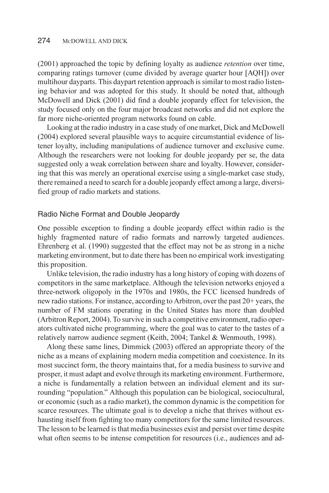(2001) approached the topic by defining loyalty as audience retention over time, comparing ratings turnover (cume divided by average quarter hour [AQH]) over multihour dayparts. This daypart retention approach is similar to most radio listening behavior and was adopted for this study. It should be noted that, although McDowell and Dick (2001) did find a double jeopardy effect for television, the study focused only on the four major broadcast networks and did not explore the far more niche-oriented program networks found on cable.

Looking at the radio industry in a case study of one market, Dick and McDowell (2004) explored several plausible ways to acquire circumstantial evidence of listener loyalty, including manipulations of audience turnover and exclusive cume. Although the researchers were not looking for double jeopardy per se, the data suggested only a weak correlation between share and loyalty. However, considering that this was merely an operational exercise using a single-market case study, there remained a need to search for a double jeopardy effect among a large, diversified group of radio markets and stations.

#### Radio Niche Format and Double Jeopardy

One possible exception to finding a double jeopardy effect within radio is the highly fragmented nature of radio formats and narrowly targeted audiences. Ehrenberg et al. (1990) suggested that the effect may not be as strong in a niche marketing environment, but to date there has been no empirical work investigating this proposition.

Unlike television, the radio industry has a long history of coping with dozens of competitors in the same marketplace. Although the television networks enjoyed a three-network oligopoly in the 1970s and 1980s, the FCC licensed hundreds of new radio stations. For instance, according to Arbitron, over the past 20+ years, the number of FM stations operating in the United States has more than doubled (Arbitron Report, 2004). To survive in such a competitive environment, radio operators cultivated niche programming, where the goal was to cater to the tastes of a relatively narrow audience segment (Keith, 2004; Tankel & Wenmouth, 1998).

Along these same lines, Dimmick (2003) offered an appropriate theory of the niche as a means of explaining modern media competition and coexistence. In its most succinct form, the theory maintains that, for a media business to survive and prosper, it must adapt and evolve through its marketing environment. Furthermore, a niche is fundamentally a relation between an individual element and its surrounding "population." Although this population can be biological, sociocultural, or economic (such as a radio market), the common dynamic is the competition for scarce resources. The ultimate goal is to develop a niche that thrives without exhausting itself from fighting too many competitors for the same limited resources. The lesson to be learned is that media businesses exist and persist over time despite what often seems to be intense competition for resources (i.e., audiences and ad-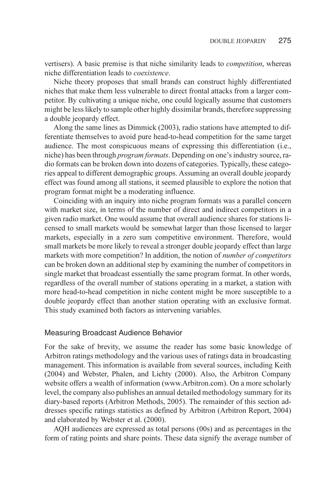vertisers). A basic premise is that niche similarity leads to *competition*, whereas niche differentiation leads to coexistence.

Niche theory proposes that small brands can construct highly differentiated niches that make them less vulnerable to direct frontal attacks from a larger competitor. By cultivating a unique niche, one could logically assume that customers might be less likely to sample other highly dissimilar brands, therefore suppressing a double jeopardy effect.

Along the same lines as Dimmick (2003), radio stations have attempted to differentiate themselves to avoid pure head-to-head competition for the same target audience. The most conspicuous means of expressing this differentiation (i.e., niche) has been through program formats. Depending on one's industry source, radio formats can be broken down into dozens of categories. Typically, these categories appeal to different demographic groups. Assuming an overall double jeopardy effect was found among all stations, it seemed plausible to explore the notion that program format might be a moderating influence.

Coinciding with an inquiry into niche program formats was a parallel concern with market size, in terms of the number of direct and indirect competitors in a given radio market. One would assume that overall audience shares for stations licensed to small markets would be somewhat larger than those licensed to larger markets, especially in a zero sum competitive environment. Therefore, would small markets be more likely to reveal a stronger double jeopardy effect than large markets with more competition? In addition, the notion of *number of competitors* can be broken down an additional step by examining the number of competitors in single market that broadcast essentially the same program format. In other words, regardless of the overall number of stations operating in a market, a station with more head-to-head competition in niche content might be more susceptible to a double jeopardy effect than another station operating with an exclusive format. This study examined both factors as intervening variables.

#### Measuring Broadcast Audience Behavior

For the sake of brevity, we assume the reader has some basic knowledge of Arbitron ratings methodology and the various uses of ratings data in broadcasting management. This information is available from several sources, including Keith (2004) and Webster, Phalen, and Lichty (2000). Also, the Arbitron Company website offers a wealth of information (www.Arbitron.com). On a more scholarly level, the company also publishes an annual detailed methodology summary for its diary-based reports (Arbitron Methods, 2005). The remainder of this section addresses specific ratings statistics as defined by Arbitron (Arbitron Report, 2004) and elaborated by Webster et al. (2000).

AQH audiences are expressed as total persons (00s) and as percentages in the form of rating points and share points. These data signify the average number of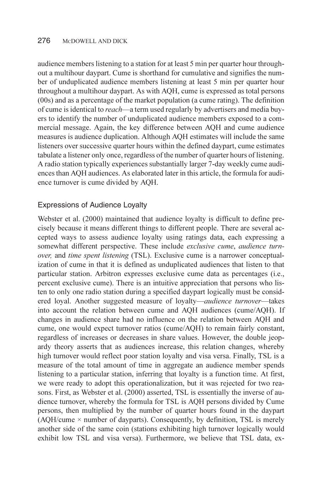audience members listening to a station for at least 5 min per quarter hour throughout a multihour daypart. Cume is shorthand for cumulative and signifies the number of unduplicated audience members listening at least 5 min per quarter hour throughout a multihour daypart. As with AQH, cume is expressed as total persons (00s) and as a percentage of the market population (a cume rating). The definition of cume is identical to reach—a term used regularly by advertisers and media buyers to identify the number of unduplicated audience members exposed to a commercial message. Again, the key difference between AQH and cume audience measures is audience duplication. Although AQH estimates will include the same listeners over successive quarter hours within the defined daypart, cume estimates tabulate a listener only once, regardless of the number of quarter hours of listening. A radio station typically experiences substantially larger 7-day weekly cume audiences than AQH audiences. As elaborated later in this article, the formula for audience turnover is cume divided by AQH.

## Expressions of Audience Loyalty

Webster et al. (2000) maintained that audience loyalty is difficult to define precisely because it means different things to different people. There are several accepted ways to assess audience loyalty using ratings data, each expressing a somewhat different perspective. These include exclusive cume, audience turnover, and time spent listening (TSL). Exclusive cume is a narrower conceptualization of cume in that it is defined as unduplicated audiences that listen to that particular station. Arbitron expresses exclusive cume data as percentages (i.e., percent exclusive cume). There is an intuitive appreciation that persons who listen to only one radio station during a specified daypart logically must be considered loyal. Another suggested measure of loyalty—audience turnover—takes into account the relation between cume and AQH audiences (cume/AQH). If changes in audience share had no influence on the relation between AQH and cume, one would expect turnover ratios (cume/AQH) to remain fairly constant, regardless of increases or decreases in share values. However, the double jeopardy theory asserts that as audiences increase, this relation changes, whereby high turnover would reflect poor station loyalty and visa versa. Finally, TSL is a measure of the total amount of time in aggregate an audience member spends listening to a particular station, inferring that loyalty is a function time. At first, we were ready to adopt this operationalization, but it was rejected for two reasons. First, as Webster et al. (2000) asserted, TSL is essentially the inverse of audience turnover, whereby the formula for TSL is AQH persons divided by Cume persons, then multiplied by the number of quarter hours found in the daypart (AQH/cume  $\times$  number of dayparts). Consequently, by definition, TSL is merely another side of the same coin (stations exhibiting high turnover logically would exhibit low TSL and visa versa). Furthermore, we believe that TSL data, ex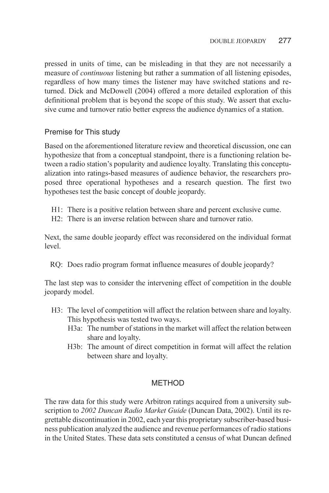pressed in units of time, can be misleading in that they are not necessarily a measure of *continuous* listening but rather a summation of all listening episodes, regardless of how many times the listener may have switched stations and returned. Dick and McDowell (2004) offered a more detailed exploration of this definitional problem that is beyond the scope of this study. We assert that exclusive cume and turnover ratio better express the audience dynamics of a station.

# Premise for This study

Based on the aforementioned literature review and theoretical discussion, one can hypothesize that from a conceptual standpoint, there is a functioning relation between a radio station's popularity and audience loyalty. Translating this conceptualization into ratings-based measures of audience behavior, the researchers proposed three operational hypotheses and a research question. The first two hypotheses test the basic concept of double jeopardy.

- H1: There is a positive relation between share and percent exclusive cume.
- H2: There is an inverse relation between share and turnover ratio.

Next, the same double jeopardy effect was reconsidered on the individual format level.

RQ: Does radio program format influence measures of double jeopardy?

The last step was to consider the intervening effect of competition in the double jeopardy model.

- H3: The level of competition will affect the relation between share and loyalty. This hypothesis was tested two ways.
	- H3a: The number of stations in the market will affect the relation between share and loyalty.
	- H3b: The amount of direct competition in format will affect the relation between share and loyalty.

## METHOD

The raw data for this study were Arbitron ratings acquired from a university subscription to 2002 Duncan Radio Market Guide (Duncan Data, 2002). Until its regrettable discontinuation in 2002, each year this proprietary subscriber-based business publication analyzed the audience and revenue performances of radio stations in the United States. These data sets constituted a census of what Duncan defined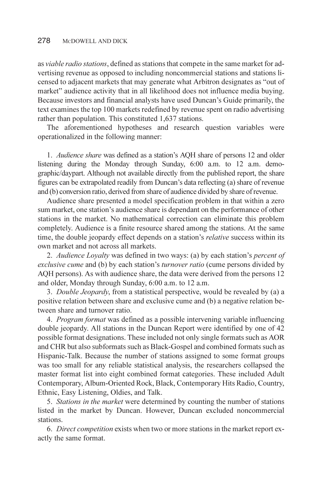## 278 MCDOWELL AND DICK

as viable radio stations, defined as stations that compete in the same market for advertising revenue as opposed to including noncommercial stations and stations licensed to adjacent markets that may generate what Arbitron designates as "out of market" audience activity that in all likelihood does not influence media buying. Because investors and financial analysts have used Duncan's Guide primarily, the text examines the top 100 markets redefined by revenue spent on radio advertising rather than population. This constituted 1,637 stations.

The aforementioned hypotheses and research question variables were operationalized in the following manner:

1. Audience share was defined as a station's AQH share of persons 12 and older listening during the Monday through Sunday, 6:00 a.m. to 12 a.m. demographic/daypart. Although not available directly from the published report, the share figures can be extrapolated readily from Duncan's data reflecting (a) share of revenue and (b) conversion ratio, derived from share of audience divided by share of revenue.

Audience share presented a model specification problem in that within a zero sum market, one station's audience share is dependant on the performance of other stations in the market. No mathematical correction can eliminate this problem completely. Audience is a finite resource shared among the stations. At the same time, the double jeopardy effect depends on a station's *relative* success within its own market and not across all markets.

2. *Audience Loyalty* was defined in two ways: (a) by each station's *percent of* exclusive cume and (b) by each station's turnover ratio (cume persons divided by AQH persons). As with audience share, the data were derived from the persons 12 and older, Monday through Sunday, 6:00 a.m. to 12 a.m.

3. Double Jeopardy, from a statistical perspective, would be revealed by (a) a positive relation between share and exclusive cume and (b) a negative relation between share and turnover ratio.

4. Program format was defined as a possible intervening variable influencing double jeopardy. All stations in the Duncan Report were identified by one of 42 possible format designations. These included not only single formats such as AOR and CHR but also subformats such as Black-Gospel and combined formats such as Hispanic-Talk. Because the number of stations assigned to some format groups was too small for any reliable statistical analysis, the researchers collapsed the master format list into eight combined format categories. These included Adult Contemporary, Album-Oriented Rock, Black, Contemporary Hits Radio, Country, Ethnic, Easy Listening, Oldies, and Talk.

5. Stations in the market were determined by counting the number of stations listed in the market by Duncan. However, Duncan excluded noncommercial stations.

6. Direct competition exists when two or more stations in the market report exactly the same format.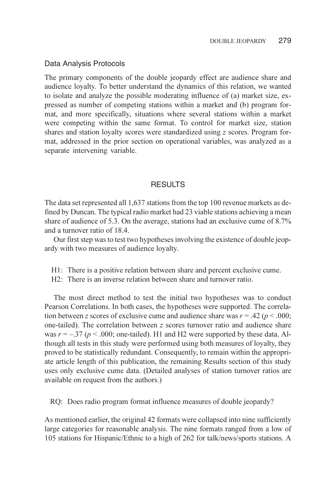### Data Analysis Protocols

The primary components of the double jeopardy effect are audience share and audience loyalty. To better understand the dynamics of this relation, we wanted to isolate and analyze the possible moderating influence of (a) market size, expressed as number of competing stations within a market and (b) program format, and more specifically, situations where several stations within a market were competing within the same format. To control for market size, station shares and station loyalty scores were standardized using z scores. Program format, addressed in the prior section on operational variables, was analyzed as a separate intervening variable.

#### RESULTS

The data set represented all 1,637 stations from the top 100 revenue markets as defined by Duncan. The typical radio market had 23 viable stations achieving a mean share of audience of 5.3. On the average, stations had an exclusive cume of 8.7% and a turnover ratio of 18.4.

Our first step was to test two hypotheses involving the existence of double jeopardy with two measures of audience loyalty.

- H1: There is a positive relation between share and percent exclusive cume.
- H2: There is an inverse relation between share and turnover ratio.

The most direct method to test the initial two hypotheses was to conduct Pearson Correlations. In both cases, the hypotheses were supported. The correlation between z scores of exclusive cume and audience share was  $r = .42$  ( $p < .000$ ; one-tailed). The correlation between z scores turnover ratio and audience share was  $r = -0.37$  ( $p < 0.00$ ; one-tailed). H1 and H2 were supported by these data. Although all tests in this study were performed using both measures of loyalty, they proved to be statistically redundant. Consequently, to remain within the appropriate article length of this publication, the remaining Results section of this study uses only exclusive cume data. (Detailed analyses of station turnover ratios are available on request from the authors.)

RQ: Does radio program format influence measures of double jeopardy?

As mentioned earlier, the original 42 formats were collapsed into nine sufficiently large categories for reasonable analysis. The nine formats ranged from a low of 105 stations for Hispanic/Ethnic to a high of 262 for talk/news/sports stations. A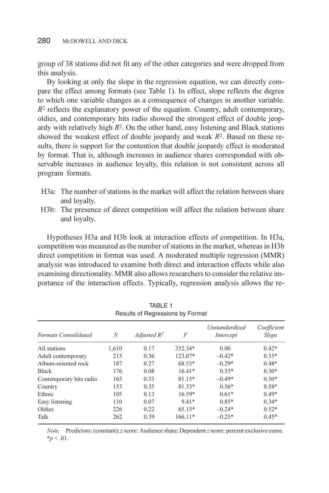group of 38 stations did not fit any of the other categories and were dropped from this analysis.

By looking at only the slope in the regression equation, we can directly compare the effect among formats (see Table 1). In effect, slope reflects the degree to which one variable changes as a consequence of changes in another variable.  $R<sup>2</sup>$  reflects the explanatory power of the equation. Country, adult contemporary, oldies, and contemporary hits radio showed the strongest effect of double jeopardy with relatively high  $R^2$ . On the other hand, easy listening and Black stations showed the weakest effect of double jeopardy and weak  $R<sup>2</sup>$ . Based on these results, there is support for the contention that double jeopardy effect is moderated by format. That is, although increases in audience shares corresponded with observable increases in audience loyalty, this relation is not consistent across all program formats.

- H3a: The number of stations in the market will affect the relation between share and loyalty.
- H3b: The presence of direct competition will affect the relation between share and loyalty.

Hypotheses H3a and H3b look at interaction effects of competition. In H3a, competition was measured as the number of stations in the market, whereas in H3b direct competition in format was used. A moderated multiple regression (MMR) analysis was introduced to examine both direct and interaction effects while also examining directionality. MMR also allows researchers to consider the relative importance of the interaction effects. Typically, regression analysis allows the re-

| Results of Regressions by Format |       |                |          |                                    |                      |
|----------------------------------|-------|----------------|----------|------------------------------------|----------------------|
| Formats Consolidated             | N     | Adjusted $R^2$ | F        | <b>Unstandardized</b><br>Intercept | Coefficient<br>Slope |
| All stations                     | 1,610 | 0.17           | 352.34*  | 0.00                               | $0.42*$              |
| Adult contemporary               | 215   | 0.36           | 123.07*  | $-0.42*$                           | $0.55*$              |
| Album-oriented rock              | 187   | 0.27           | $68.53*$ | $-0.29*$                           | $0.48*$              |
| <b>Black</b>                     | 176   | 0.08           | $16.41*$ | $0.35*$                            | $0.30*$              |
| Contemporary hits radio          | 165   | 0.33           | $81.15*$ | $-0.49*$                           | $0.50*$              |
| Country                          | 153   | 0.35           | $81.53*$ | $0.56*$                            | $0.58*$              |
| Ethnic                           | 105   | 0.13           | $16.59*$ | $0.61*$                            | $0.49*$              |
| Easy listening                   | 110   | 0.07           | $9.41*$  | $0.85*$                            | $0.34*$              |
| Oldies                           | 226   | 0.22           | $65.15*$ | $-0.24*$                           | $0.52*$              |
| Talk                             | 262   | 0.39           | 166.11*  | $-0.25*$                           | $0.45*$              |

TABLE 1 Results of Regressions by Format

*Note.* Predictors: (constant);  $z$  score: Audience share; Dependent  $z$  score: percent exclusive cume.  $*_{p}$  < .01.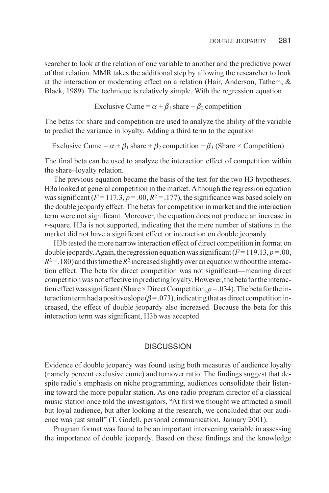searcher to look at the relation of one variable to another and the predictive power of that relation. MMR takes the additional step by allowing the researcher to look at the interaction or moderating effect on a relation (Hair, Anderson, Tathem, & Black, 1989). The technique is relatively simple. With the regression equation

Exclusive Cume =  $\alpha + \beta_1$  share +  $\beta_2$  competition

The betas for share and competition are used to analyze the ability of the variable to predict the variance in loyalty. Adding a third term to the equation

Exclusive Cume =  $\alpha + \beta_1$  share +  $\beta_2$  competition +  $\beta_3$  (Share × Competition)

The final beta can be used to analyze the interaction effect of competition within the share–loyalty relation.

The previous equation became the basis of the test for the two H3 hypotheses. H3a looked at general competition in the market. Although the regression equation was significant  $(F = 117.3, p = .00, R^2 = .177)$ , the significance was based solely on the double jeopardy effect. The betas for competition in market and the interaction term were not significant. Moreover, the equation does not produce an increase in r-square. H3a is not supported, indicating that the mere number of stations in the market did not have a significant effect or interaction on double jeopardy.

H3b tested the more narrow interaction effect of direct competition in format on double jeopardy. Again, the regression equation was significant  $(F=119.13, p=.00,$  $R^{2}$  = .180) and this time the  $R^{2}$  increased slightly over an equation without the interaction effect. The beta for direct competition was not significant—meaning direct competition was not effective in predicting loyalty. However, the beta for the interaction effect was significant (Share  $\times$  Direct Competition,  $p = .034$ ). The beta for the interaction term had a positive slope ( $\beta$  = .073), indicating that as direct competition increased, the effect of double jeopardy also increased. Because the beta for this interaction term was significant, H3b was accepted.

## **DISCUSSION**

Evidence of double jeopardy was found using both measures of audience loyalty (namely percent exclusive cume) and turnover ratio. The findings suggest that despite radio's emphasis on niche programming, audiences consolidate their listening toward the more popular station. As one radio program director of a classical music station once told the investigators, "At first we thought we attracted a small but loyal audience, but after looking at the research, we concluded that our audience was just small" (T. Godell, personal communication, January 2001).

Program format was found to be an important intervening variable in assessing the importance of double jeopardy. Based on these findings and the knowledge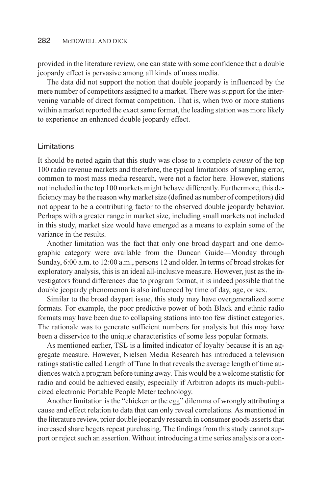#### 282 MCDOWELL AND DICK

provided in the literature review, one can state with some confidence that a double jeopardy effect is pervasive among all kinds of mass media.

The data did not support the notion that double jeopardy is influenced by the mere number of competitors assigned to a market. There was support for the intervening variable of direct format competition. That is, when two or more stations within a market reported the exact same format, the leading station was more likely to experience an enhanced double jeopardy effect.

#### Limitations

It should be noted again that this study was close to a complete census of the top 100 radio revenue markets and therefore, the typical limitations of sampling error, common to most mass media research, were not a factor here. However, stations not included in the top 100 markets might behave differently. Furthermore, this deficiency may be the reason why market size (defined as number of competitors) did not appear to be a contributing factor to the observed double jeopardy behavior. Perhaps with a greater range in market size, including small markets not included in this study, market size would have emerged as a means to explain some of the variance in the results.

Another limitation was the fact that only one broad daypart and one demographic category were available from the Duncan Guide—Monday through Sunday, 6:00 a.m. to 12:00 a.m., persons 12 and older. In terms of broad strokes for exploratory analysis, this is an ideal all-inclusive measure. However, just as the investigators found differences due to program format, it is indeed possible that the double jeopardy phenomenon is also influenced by time of day, age, or sex.

Similar to the broad daypart issue, this study may have overgeneralized some formats. For example, the poor predictive power of both Black and ethnic radio formats may have been due to collapsing stations into too few distinct categories. The rationale was to generate sufficient numbers for analysis but this may have been a disservice to the unique characteristics of some less popular formats.

As mentioned earlier, TSL is a limited indicator of loyalty because it is an aggregate measure. However, Nielsen Media Research has introduced a television ratings statistic called Length of Tune In that reveals the average length of time audiences watch a program before tuning away. This would be a welcome statistic for radio and could be achieved easily, especially if Arbitron adopts its much-publicized electronic Portable People Meter technology.

Another limitation is the "chicken or the egg" dilemma of wrongly attributing a cause and effect relation to data that can only reveal correlations. As mentioned in the literature review, prior double jeopardy research in consumer goods asserts that increased share begets repeat purchasing. The findings from this study cannot support or reject such an assertion. Without introducing a time series analysis or a con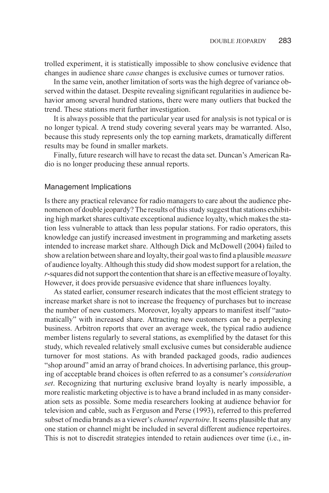trolled experiment, it is statistically impossible to show conclusive evidence that changes in audience share cause changes is exclusive cumes or turnover ratios.

In the same vein, another limitation of sorts was the high degree of variance observed within the dataset. Despite revealing significant regularities in audience behavior among several hundred stations, there were many outliers that bucked the trend. These stations merit further investigation.

It is always possible that the particular year used for analysis is not typical or is no longer typical. A trend study covering several years may be warranted. Also, because this study represents only the top earning markets, dramatically different results may be found in smaller markets.

Finally, future research will have to recast the data set. Duncan's American Radio is no longer producing these annual reports.

#### Management Implications

Is there any practical relevance for radio managers to care about the audience phenomenon of double jeopardy? The results of this study suggest that stations exhibiting high market shares cultivate exceptional audience loyalty, which makes the station less vulnerable to attack than less popular stations. For radio operators, this knowledge can justify increased investment in programming and marketing assets intended to increase market share. Although Dick and McDowell (2004) failed to show a relation between share and loyalty, their goal was to find a plausible measure of audience loyalty. Although this study did show modest support for a relation, the r-squares did not support the contention that share is an effective measure of loyalty. However, it does provide persuasive evidence that share influences loyalty.

As stated earlier, consumer research indicates that the most efficient strategy to increase market share is not to increase the frequency of purchases but to increase the number of new customers. Moreover, loyalty appears to manifest itself "automatically" with increased share. Attracting new customers can be a perplexing business. Arbitron reports that over an average week, the typical radio audience member listens regularly to several stations, as exemplified by the dataset for this study, which revealed relatively small exclusive cumes but considerable audience turnover for most stations. As with branded packaged goods, radio audiences "shop around" amid an array of brand choices. In advertising parlance, this grouping of acceptable brand choices is often referred to as a consumer's consideration set. Recognizing that nurturing exclusive brand loyalty is nearly impossible, a more realistic marketing objective is to have a brand included in as many consideration sets as possible. Some media researchers looking at audience behavior for television and cable, such as Ferguson and Perse (1993), referred to this preferred subset of media brands as a viewer's channel repertoire. It seems plausible that any one station or channel might be included in several different audience repertoires. This is not to discredit strategies intended to retain audiences over time (i.e., in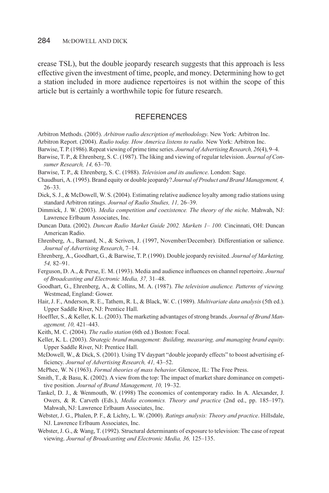crease TSL), but the double jeopardy research suggests that this approach is less effective given the investment of time, people, and money. Determining how to get a station included in more audience repertoires is not within the scope of this article but is certainly a worthwhile topic for future research.

## **REFERENCES**

- Arbitron Methods. (2005). Arbitron radio description of methodology. New York: Arbitron Inc.
- Arbitron Report. (2004). Radio today. How America listens to radio. New York: Arbitron Inc.
- Barwise, T. P. (1986). Repeat viewing of prime time series. Journal of Advertising Research, 26(4), 9–4.
- Barwise, T. P., & Ehrenberg, S. C. (1987). The liking and viewing of regular television. Journal of Consumer Research, 14, 63–70.
- Barwise, T. P., & Ehrenberg, S. C. (1988). Television and its audience. London: Sage.
- Chaudhuri, A. (1995). Brand equity or double jeopardy? Journal of Product and Brand Management, 4, 26–33.
- Dick, S. J., & McDowell, W. S. (2004). Estimating relative audience loyalty among radio stations using standard Arbitron ratings. Journal of Radio Studies, 11, 26–39.
- Dimmick, J. W. (2003). Media competition and coexistence. The theory of the niche. Mahwah, NJ: Lawrence Erlbaum Associates, Inc.
- Duncan Data. (2002). Duncan Radio Market Guide 2002. Markets 1– 100. Cincinnati, OH: Duncan American Radio.
- Ehrenberg, A., Barnard, N., & Scriven, J. (1997, November/December). Differentiation or salience. Journal of Advertising Research, 7–14.
- Ehrenberg, A., Goodhart, G., & Barwise, T. P. (1990). Double jeopardy revisited. Journal of Marketing, 54, 82–91.
- Ferguson, D. A., & Perse, E. M. (1993). Media and audience influences on channel repertoire. Journal of Broadcasting and Electronic Media, 37, 31–48.
- Goodhart, G., Ehrenberg, A., & Collins, M. A. (1987). The television audience. Patterns of viewing. Westmead, England: Gower.
- Hair, J. F., Anderson, R. E., Tathem, R. L, & Black, W. C. (1989). Multivariate data analysis (5th ed.). Upper Saddle River, NJ: Prentice Hall.
- Hoeffler, S., & Keller, K. L. (2003). The marketing advantages of strong brands. Journal of Brand Management, 10, 421–443.
- Keith, M. C. (2004). The radio station (6th ed.) Boston: Focal.
- Keller, K. L. (2003). Strategic brand management: Building, measuring, and managing brand equity. Upper Saddle River, NJ: Prentice Hall.
- McDowell, W., & Dick, S. (2001). Using TV daypart "double jeopardy effects" to boost advertising efficiency. Journal of Advertising Research, 41, 43–52.
- McPhee, W. N (1963). Formal theories of mass behavior. Glencoe, IL: The Free Press.
- Smith, T., & Basu, K. (2002). A view from the top: The impact of market share dominance on competitive position. Journal of Brand Management, 10, 19-32.
- Tankel, D. J., & Wenmouth, W. (1998) The economics of contemporary radio. In A. Alexander, J. Owers, & R. Carveth (Eds.), *Media economics. Theory and practice* (2nd ed., pp. 185-197). Mahwah, NJ: Lawrence Erlbaum Associates, Inc.
- Webster, J. G., Phalen, P. F., & Lichty, L. W. (2000). Ratings analysis: Theory and practice. Hillsdale, NJ. Lawrence Erlbaum Associates, Inc.
- Webster, J. G., & Wang, T. (1992). Structural determinants of exposure to television: The case of repeat viewing. Journal of Broadcasting and Electronic Media, 36, 125–135.